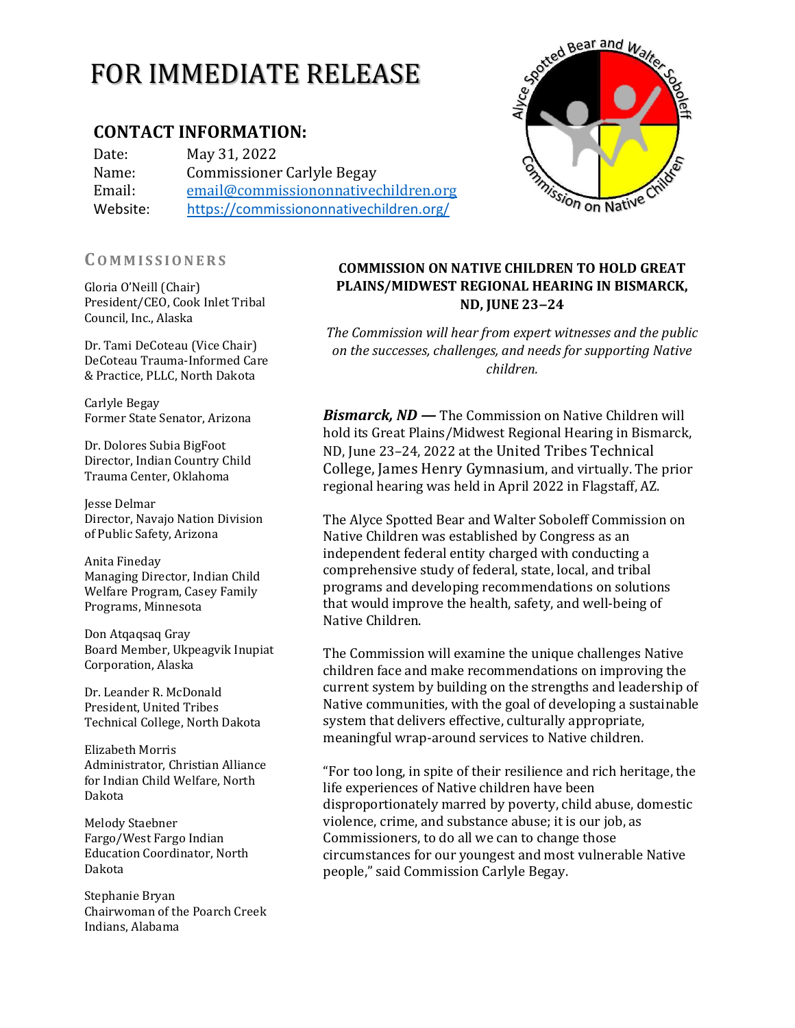# FOR IMMEDIATE RELEASE

# **CONTACT INFORMATION:**

Date: May 31, 2022 Name: Commissioner Carlyle Begay Email: [email@commissiononnativechildren.org](mailto:email@commissiononnativechildren.org) Website: <https://commissiononnativechildren.org/>

## **CO M M I S S I O N E R S**

Gloria O'Neill (Chair) President/CEO, Cook Inlet Tribal Council, Inc., Alaska

Dr. Tami DeCoteau (Vice Chair) DeCoteau Trauma-Informed Care & Practice, PLLC, North Dakota

Carlyle Begay Former State Senator, Arizona

Dr. Dolores Subia BigFoot Director, Indian Country Child Trauma Center, Oklahoma

Jesse Delmar Director, Navajo Nation Division of Public Safety, Arizona

Anita Fineday Managing Director, Indian Child Welfare Program, Casey Family Programs, Minnesota

Don Atqaqsaq Gray Board Member, Ukpeagvik Inupiat Corporation, Alaska

Dr. Leander R. McDonald President, United Tribes Technical College, North Dakota

Elizabeth Morris Administrator, Christian Alliance for Indian Child Welfare, North Dakota

Melody Staebner Fargo/West Fargo Indian Education Coordinator, North Dakota

Stephanie Bryan Chairwoman of the Poarch Creek Indians, Alabama

# **COMMISSION ON NATIVE CHILDREN TO HOLD GREAT PLAINS/MIDWEST REGIONAL HEARING IN BISMARCK, ND, JUNE 23‒24**

*The Commission will hear from expert witnesses and the public on the successes, challenges, and needs for supporting Native children.*

*Bismarck, ND —* The Commission on Native Children will hold its Great Plains/Midwest Regional Hearing in Bismarck, ND, June 23–24, 2022 at the United Tribes Technical College, James Henry Gymnasium, and virtually. The prior regional hearing was held in April 2022 in Flagstaff, AZ.

The Alyce Spotted Bear and Walter Soboleff Commission on Native Children was established by Congress as an independent federal entity charged with conducting a comprehensive study of federal, state, local, and tribal programs and developing recommendations on solutions that would improve the health, safety, and well‐being of Native Children.

The Commission will examine the unique challenges Native children face and make recommendations on improving the current system by building on the strengths and leadership of Native communities, with the goal of developing a sustainable system that delivers effective, culturally appropriate, meaningful wrap-around services to Native children.

"For too long, in spite of their resilience and rich heritage, the life experiences of Native children have been disproportionately marred by poverty, child abuse, domestic violence, crime, and substance abuse; it is our job, as Commissioners, to do all we can to change those circumstances for our youngest and most vulnerable Native people," said Commission Carlyle Begay.